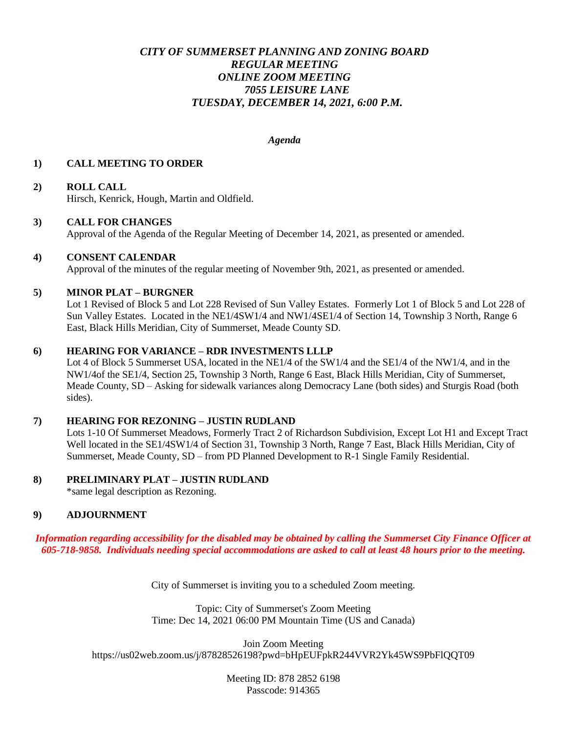# *CITY OF SUMMERSET PLANNING AND ZONING BOARD REGULAR MEETING ONLINE ZOOM MEETING 7055 LEISURE LANE TUESDAY, DECEMBER 14, 2021, 6:00 P.M.*

#### *Agenda*

### **1) CALL MEETING TO ORDER**

## **2) ROLL CALL**

Hirsch, Kenrick, Hough, Martin and Oldfield.

### **3) CALL FOR CHANGES**

Approval of the Agenda of the Regular Meeting of December 14, 2021, as presented or amended.

### **4) CONSENT CALENDAR**

Approval of the minutes of the regular meeting of November 9th, 2021, as presented or amended.

### **5) MINOR PLAT – BURGNER**

Lot 1 Revised of Block 5 and Lot 228 Revised of Sun Valley Estates. Formerly Lot 1 of Block 5 and Lot 228 of Sun Valley Estates. Located in the NE1/4SW1/4 and NW1/4SE1/4 of Section 14, Township 3 North, Range 6 East, Black Hills Meridian, City of Summerset, Meade County SD.

## **6) HEARING FOR VARIANCE – RDR INVESTMENTS LLLP**

Lot 4 of Block 5 Summerset USA, located in the NE1/4 of the SW1/4 and the SE1/4 of the NW1/4, and in the NW1/4of the SE1/4, Section 25, Township 3 North, Range 6 East, Black Hills Meridian, City of Summerset, Meade County, SD – Asking for sidewalk variances along Democracy Lane (both sides) and Sturgis Road (both sides).

#### **7) HEARING FOR REZONING – JUSTIN RUDLAND**

Lots 1-10 Of Summerset Meadows, Formerly Tract 2 of Richardson Subdivision, Except Lot H1 and Except Tract Well located in the SE1/4SW1/4 of Section 31, Township 3 North, Range 7 East, Black Hills Meridian, City of Summerset, Meade County, SD – from PD Planned Development to R-1 Single Family Residential.

## **8) PRELIMINARY PLAT – JUSTIN RUDLAND**

\*same legal description as Rezoning.

# **9) ADJOURNMENT**

*Information regarding accessibility for the disabled may be obtained by calling the Summerset City Finance Officer at 605-718-9858. Individuals needing special accommodations are asked to call at least 48 hours prior to the meeting.*

City of Summerset is inviting you to a scheduled Zoom meeting.

Topic: City of Summerset's Zoom Meeting Time: Dec 14, 2021 06:00 PM Mountain Time (US and Canada)

Join Zoom Meeting https://us02web.zoom.us/j/87828526198?pwd=bHpEUFpkR244VVR2Yk45WS9PbFlQQT09

> Meeting ID: 878 2852 6198 Passcode: 914365